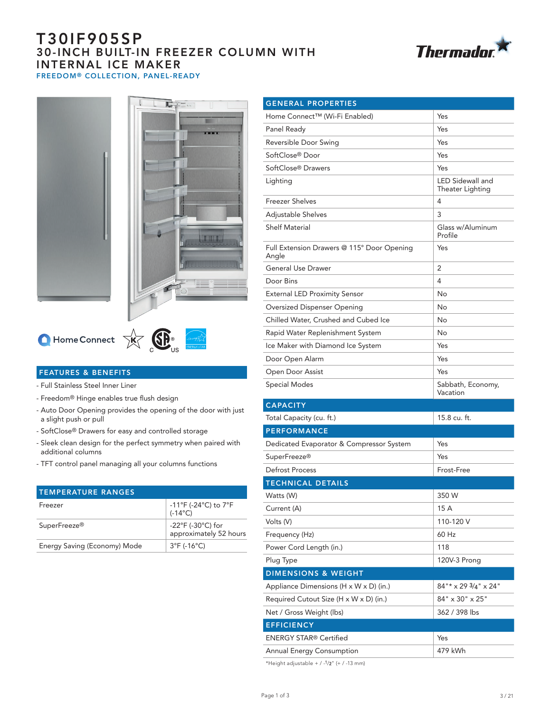# T30IF905SP 30-INCH BUILT-IN FREEZER COLUMN WITH INTERNAL ICE MAKER FREEDOM® COLLECTION, PANEL-READY







# $\bigcirc$  Home Connect  $\overrightarrow{X}$   $\overrightarrow{X}$   $\overrightarrow{S}$   $\overrightarrow{S}$



- Full Stainless Steel Inner Liner
- Freedom® Hinge enables true flush design
- Auto Door Opening provides the opening of the door with just a slight push or pull
- SoftClose® Drawers for easy and controlled storage
- Sleek clean design for the perfect symmetry when paired with additional columns
- TFT control panel managing all your columns functions

| <b>TEMPERATURE RANGES</b>    |                                                                          |
|------------------------------|--------------------------------------------------------------------------|
| Freezer                      | $-11^{\circ}$ F (-24 $^{\circ}$ C) to 7 $^{\circ}$ F<br>$(-14^{\circ}C)$ |
| SuperFreeze <sup>®</sup>     | -22 $\degree$ F (-30 $\degree$ C) for<br>approximately 52 hours          |
| Energy Saving (Economy) Mode | $3^{\circ}F$ (-16 $^{\circ}C$ )                                          |

| <b>GENERAL PROPERTIES</b>                           |                                      |  |
|-----------------------------------------------------|--------------------------------------|--|
| Home Connect™ (Wi-Fi Enabled)                       | Yes                                  |  |
| Panel Ready                                         | Yes                                  |  |
| Reversible Door Swing                               | Yes                                  |  |
| SoftClose® Door                                     | Yes                                  |  |
| SoftClose® Drawers                                  | Yes                                  |  |
| Lighting                                            | LED Sidewall and<br>Theater Lighting |  |
| <b>Freezer Shelves</b>                              | 4                                    |  |
| Adjustable Shelves                                  | 3                                    |  |
| <b>Shelf Material</b>                               | Glass w/Aluminum<br>Profile          |  |
| Full Extension Drawers @ 115° Door Opening<br>Angle | Yes                                  |  |
| <b>General Use Drawer</b>                           | 2                                    |  |
| Door Bins                                           | 4                                    |  |
| <b>External LED Proximity Sensor</b>                | No                                   |  |
| Oversized Dispenser Opening                         | No                                   |  |
| Chilled Water, Crushed and Cubed Ice                | No                                   |  |
| Rapid Water Replenishment System                    | No                                   |  |
| Ice Maker with Diamond Ice System                   | Yes                                  |  |
| Door Open Alarm                                     | Yes                                  |  |
| Open Door Assist                                    | Yes                                  |  |
| <b>Special Modes</b>                                | Sabbath, Economy,<br>Vacation        |  |
| <b>CAPACITY</b>                                     |                                      |  |
| Total Capacity (cu. ft.)                            | 15.8 cu. ft.                         |  |
| <b>PERFORMANCE</b>                                  |                                      |  |
| Dedicated Evaporator & Compressor System            | Yes                                  |  |
| SuperFreeze <sup>®</sup>                            | Yes                                  |  |
| <b>Defrost Process</b>                              | Frost-Free                           |  |
| <b>TECHNICAL DETAILS</b>                            |                                      |  |
| Watts (W)                                           | 350 W                                |  |
| Current (A)                                         | 15 A                                 |  |
| Volts (V)                                           | 110-120 V                            |  |
| Frequency (Hz)                                      | 60 Hz                                |  |
| Power Cord Length (in.)                             | 118                                  |  |
| Plug Type                                           | 120V-3 Prong                         |  |
| <b>DIMENSIONS &amp; WEIGHT</b>                      |                                      |  |
| Appliance Dimensions (H x W x D) (in.)              | $84"$ * x 29 $3/4"$ x 24"            |  |
| Required Cutout Size (H x W x D) (in.)              | 84" x 30" x 25"                      |  |
| Net / Gross Weight (lbs)                            | 362 / 398 lbs                        |  |
| <b>EFFICIENCY</b>                                   |                                      |  |
| <b>ENERGY STAR® Certified</b>                       | Yes                                  |  |
| Annual Energy Consumption                           | 479 kWh                              |  |

\*Height adjustable +  $/$  - $1/2$ " (+  $/$  -13 mm)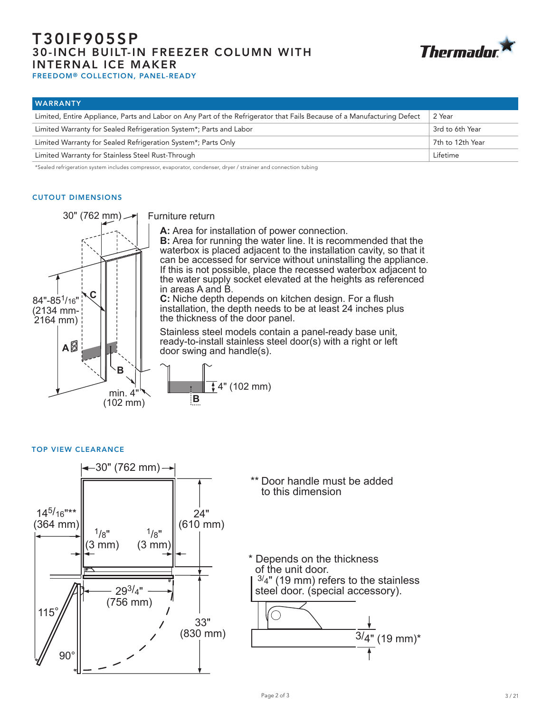# T30IF905SP 30-INCH BUILT-IN FREEZER COLUMN WITH INTERNAL ICE MAKER



FREEDOM® COLLECTION, PANEL-READY

| <b>WARRANTY</b>                                                                                                         |                  |
|-------------------------------------------------------------------------------------------------------------------------|------------------|
| Limited, Entire Appliance, Parts and Labor on Any Part of the Refrigerator that Fails Because of a Manufacturing Defect | 2 Year           |
| Limited Warranty for Sealed Refrigeration System*; Parts and Labor                                                      | 3rd to 6th Year  |
| Limited Warranty for Sealed Refrigeration System*; Parts Only                                                           | 7th to 12th Year |
| Limited Warranty for Stainless Steel Rust-Through                                                                       | Lifetime         |

\*Sealed refrigeration system includes compressor, evaporator, condenser, dryer / strainer and connection tubing

## CUTOUT DIMENSIONS



Furniture return

**A:** Area for installation of power connection.

**B:** Area for running the water line. It is recommended that the waterbox is placed adjacent to the installation cavity, so that it can be accessed for service without uninstalling the appliance. If this is not possible, place the recessed waterbox adjacent to the water supply socket elevated at the heights as referenced in areas A and B.

**C:** Niche depth depends on kitchen design. For a flush installation, the depth needs to be at least 24 inches plus the thickness of the door panel.

Stainless steel models contain a panel-ready base unit, ready-to-install stainless steel door(s) with a right or left door swing and handle(s).



TOP VIEW CLEARANCE